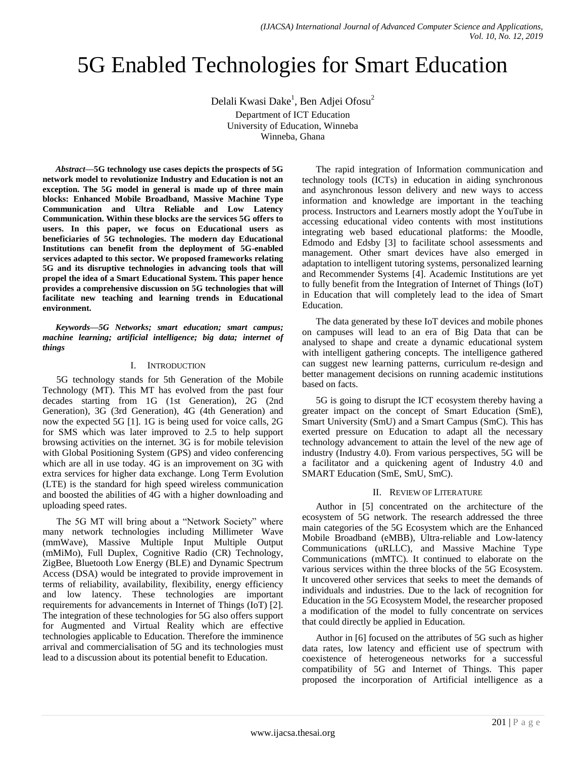# 5G Enabled Technologies for Smart Education

Delali Kwasi Dake $^1$ , Ben Adjei Ofosu $^2$ Department of ICT Education University of Education, Winneba Winneba, Ghana

*Abstract***—5G technology use cases depicts the prospects of 5G network model to revolutionize Industry and Education is not an exception. The 5G model in general is made up of three main blocks: Enhanced Mobile Broadband, Massive Machine Type Communication and Ultra Reliable and Low Latency Communication. Within these blocks are the services 5G offers to users. In this paper, we focus on Educational users as beneficiaries of 5G technologies. The modern day Educational Institutions can benefit from the deployment of 5G-enabled services adapted to this sector. We proposed frameworks relating 5G and its disruptive technologies in advancing tools that will propel the idea of a Smart Educational System. This paper hence provides a comprehensive discussion on 5G technologies that will facilitate new teaching and learning trends in Educational environment.**

*Keywords—5G Networks; smart education; smart campus; machine learning; artificial intelligence; big data; internet of things*

#### I. INTRODUCTION

5G technology stands for 5th Generation of the Mobile Technology (MT). This MT has evolved from the past four decades starting from 1G (1st Generation), 2G (2nd Generation), 3G (3rd Generation), 4G (4th Generation) and now the expected 5G [1]. 1G is being used for voice calls, 2G for SMS which was later improved to 2.5 to help support browsing activities on the internet. 3G is for mobile television with Global Positioning System (GPS) and video conferencing which are all in use today. 4G is an improvement on 3G with extra services for higher data exchange. Long Term Evolution (LTE) is the standard for high speed wireless communication and boosted the abilities of 4G with a higher downloading and uploading speed rates.

The 5G MT will bring about a "Network Society" where many network technologies including Millimeter Wave (mmWave), Massive Multiple Input Multiple Output (mMiMo), Full Duplex, Cognitive Radio (CR) Technology, ZigBee, Bluetooth Low Energy (BLE) and Dynamic Spectrum Access (DSA) would be integrated to provide improvement in terms of reliability, availability, flexibility, energy efficiency and low latency. These technologies are important requirements for advancements in Internet of Things (IoT) [2]. The integration of these technologies for 5G also offers support for Augmented and Virtual Reality which are effective technologies applicable to Education. Therefore the imminence arrival and commercialisation of 5G and its technologies must lead to a discussion about its potential benefit to Education.

The rapid integration of Information communication and technology tools (ICTs) in education in aiding synchronous and asynchronous lesson delivery and new ways to access information and knowledge are important in the teaching process. Instructors and Learners mostly adopt the YouTube in accessing educational video contents with most institutions integrating web based educational platforms: the Moodle, Edmodo and Edsby [3] to facilitate school assessments and management. Other smart devices have also emerged in adaptation to intelligent tutoring systems, personalized learning and Recommender Systems [4]. Academic Institutions are yet to fully benefit from the Integration of Internet of Things (IoT) in Education that will completely lead to the idea of Smart Education.

The data generated by these IoT devices and mobile phones on campuses will lead to an era of Big Data that can be analysed to shape and create a dynamic educational system with intelligent gathering concepts. The intelligence gathered can suggest new learning patterns, curriculum re-design and better management decisions on running academic institutions based on facts.

5G is going to disrupt the ICT ecosystem thereby having a greater impact on the concept of Smart Education (SmE), Smart University (SmU) and a Smart Campus (SmC). This has exerted pressure on Education to adapt all the necessary technology advancement to attain the level of the new age of industry (Industry 4.0). From various perspectives, 5G will be a facilitator and a quickening agent of Industry 4.0 and SMART Education (SmE, SmU, SmC).

## II. REVIEW OF LITERATURE

Author in [5] concentrated on the architecture of the ecosystem of 5G network. The research addressed the three main categories of the 5G Ecosystem which are the Enhanced Mobile Broadband (eMBB), Ultra-reliable and Low-latency Communications (uRLLC), and Massive Machine Type Communications (mMTC). It continued to elaborate on the various services within the three blocks of the 5G Ecosystem. It uncovered other services that seeks to meet the demands of individuals and industries. Due to the lack of recognition for Education in the 5G Ecosystem Model, the researcher proposed a modification of the model to fully concentrate on services that could directly be applied in Education.

Author in [6] focused on the attributes of 5G such as higher data rates, low latency and efficient use of spectrum with coexistence of heterogeneous networks for a successful compatibility of 5G and Internet of Things. This paper proposed the incorporation of Artificial intelligence as a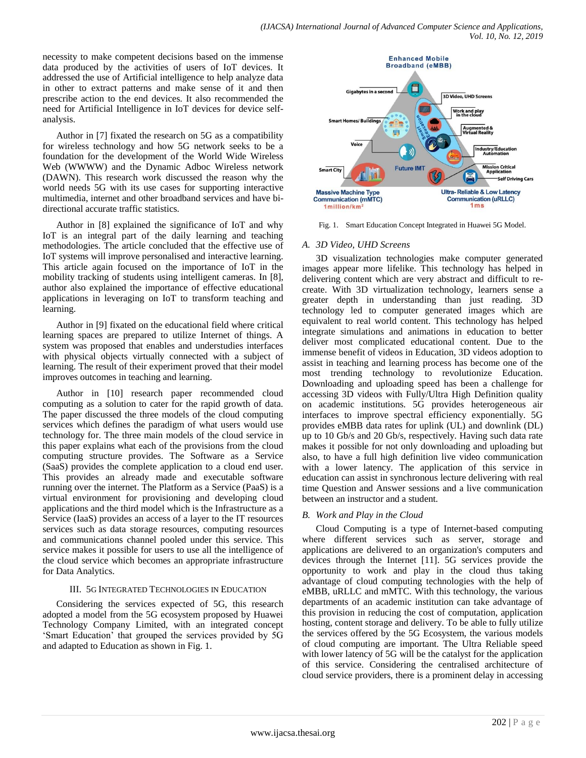necessity to make competent decisions based on the immense data produced by the activities of users of IoT devices. It addressed the use of Artificial intelligence to help analyze data in other to extract patterns and make sense of it and then prescribe action to the end devices. It also recommended the need for Artificial Intelligence in IoT devices for device selfanalysis.

Author in [7] fixated the research on 5G as a compatibility for wireless technology and how 5G network seeks to be a foundation for the development of the World Wide Wireless Web (WWWW) and the Dynamic Adboc Wireless network (DAWN). This research work discussed the reason why the world needs 5G with its use cases for supporting interactive multimedia, internet and other broadband services and have bidirectional accurate traffic statistics.

Author in [8] explained the significance of IoT and why IoT is an integral part of the daily learning and teaching methodologies. The article concluded that the effective use of IoT systems will improve personalised and interactive learning. This article again focused on the importance of IoT in the mobility tracking of students using intelligent cameras. In [8], author also explained the importance of effective educational applications in leveraging on IoT to transform teaching and learning.

Author in [9] fixated on the educational field where critical learning spaces are prepared to utilize Internet of things. A system was proposed that enables and understudies interfaces with physical objects virtually connected with a subject of learning. The result of their experiment proved that their model improves outcomes in teaching and learning.

Author in [10] research paper recommended cloud computing as a solution to cater for the rapid growth of data. The paper discussed the three models of the cloud computing services which defines the paradigm of what users would use technology for. The three main models of the cloud service in this paper explains what each of the provisions from the cloud computing structure provides. The Software as a Service (SaaS) provides the complete application to a cloud end user. This provides an already made and executable software running over the internet. The Platform as a Service (PaaS) is a virtual environment for provisioning and developing cloud applications and the third model which is the Infrastructure as a Service (IaaS) provides an access of a layer to the IT resources services such as data storage resources, computing resources and communications channel pooled under this service. This service makes it possible for users to use all the intelligence of the cloud service which becomes an appropriate infrastructure for Data Analytics.

## III. 5G INTEGRATED TECHNOLOGIES IN EDUCATION

Considering the services expected of 5G, this research adopted a model from the 5G ecosystem proposed by Huawei Technology Company Limited, with an integrated concept "Smart Education" that grouped the services provided by 5G and adapted to Education as shown in Fig. 1.



Fig. 1. Smart Education Concept Integrated in Huawei 5G Model.

## *A. 3D Video, UHD Screens*

3D visualization technologies make computer generated images appear more lifelike. This technology has helped in delivering content which are very abstract and difficult to recreate. With 3D virtualization technology, learners sense a greater depth in understanding than just reading. 3D technology led to computer generated images which are equivalent to real world content. This technology has helped integrate simulations and animations in education to better deliver most complicated educational content. Due to the immense benefit of videos in Education, 3D videos adoption to assist in teaching and learning process has become one of the most trending technology to revolutionize Education. Downloading and uploading speed has been a challenge for accessing 3D videos with Fully/Ultra High Definition quality on academic institutions. 5G provides heterogeneous air interfaces to improve spectral efficiency exponentially. 5G provides eMBB data rates for uplink (UL) and downlink (DL) up to 10 Gb/s and 20 Gb/s, respectively. Having such data rate makes it possible for not only downloading and uploading but also, to have a full high definition live video communication with a lower latency. The application of this service in education can assist in synchronous lecture delivering with real time Question and Answer sessions and a live communication between an instructor and a student.

## *B. Work and Play in the Cloud*

Cloud Computing is a type of Internet-based computing where different services such as server, storage and applications are delivered to an organization's computers and devices through the Internet [11]. 5G services provide the opportunity to work and play in the cloud thus taking advantage of cloud computing technologies with the help of eMBB, uRLLC and mMTC. With this technology, the various departments of an academic institution can take advantage of this provision in reducing the cost of computation, application hosting, content storage and delivery. To be able to fully utilize the services offered by the 5G Ecosystem, the various models of cloud computing are important. The Ultra Reliable speed with lower latency of 5G will be the catalyst for the application of this service. Considering the centralised architecture of cloud service providers, there is a prominent delay in accessing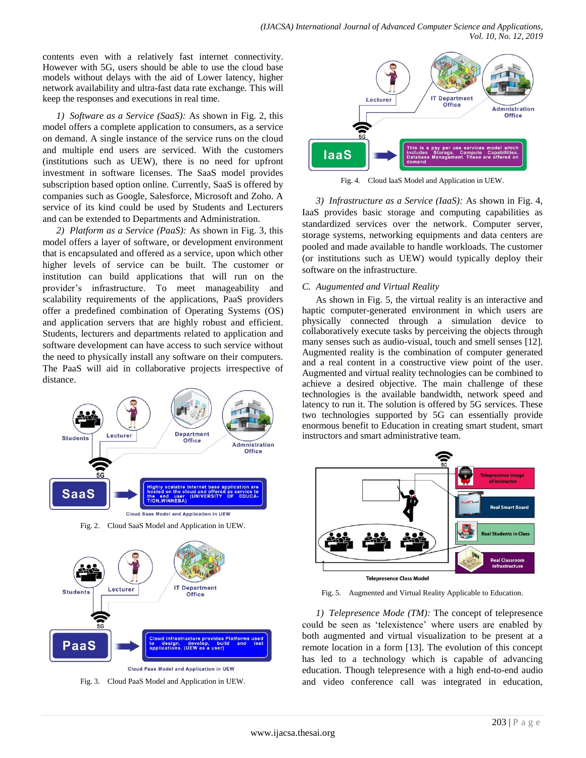contents even with a relatively fast internet connectivity. However with 5G, users should be able to use the cloud base models without delays with the aid of Lower latency, higher network availability and ultra-fast data rate exchange. This will keep the responses and executions in real time.

*1) Software as a Service (SaaS):* As shown in Fig. 2, this model offers a complete application to consumers, as a service on demand. A single instance of the service runs on the cloud and multiple end users are serviced. With the customers (institutions such as UEW), there is no need for upfront investment in software licenses. The SaaS model provides subscription based option online. Currently, SaaS is offered by companies such as Google, Salesforce, Microsoft and Zoho. A service of its kind could be used by Students and Lecturers and can be extended to Departments and Administration.

*2) Platform as a Service (PaaS):* As shown in Fig. 3, this model offers a layer of software, or development environment that is encapsulated and offered as a service, upon which other higher levels of service can be built. The customer or institution can build applications that will run on the provider"s infrastructure. To meet manageability and scalability requirements of the applications, PaaS providers offer a predefined combination of Operating Systems (OS) and application servers that are highly robust and efficient. Students, lecturers and departments related to application and software development can have access to such service without the need to physically install any software on their computers. The PaaS will aid in collaborative projects irrespective of distance.



**ILIEW ISAF** 

**Cloud Paas Model and Application in UEW** 





Fig. 4. Cloud IaaS Model and Application in UEW.

*3) Infrastructure as a Service (IaaS):* As shown in Fig. 4, IaaS provides basic storage and computing capabilities as standardized services over the network. Computer server, storage systems, networking equipments and data centers are pooled and made available to handle workloads. The customer (or institutions such as UEW) would typically deploy their software on the infrastructure.

#### *C. Augumented and Virtual Reality*

As shown in Fig. 5, the virtual reality is an interactive and haptic computer-generated environment in which users are physically connected through a simulation device to collaboratively execute tasks by perceiving the objects through many senses such as audio-visual, touch and smell senses [12]. Augmented reality is the combination of computer generated and a real content in a constructive view point of the user. Augmented and virtual reality technologies can be combined to achieve a desired objective. The main challenge of these technologies is the available bandwidth, network speed and latency to run it. The solution is offered by 5G services. These two technologies supported by 5G can essentially provide enormous benefit to Education in creating smart student, smart instructors and smart administrative team.



Fig. 5. Augmented and Virtual Reality Applicable to Education.

*1) Telepresence Mode (TM):* The concept of telepresence could be seen as "telexistence" where users are enabled by both augmented and virtual visualization to be present at a remote location in a form [13]. The evolution of this concept has led to a technology which is capable of advancing education. Though telepresence with a high end-to-end audio and video conference call was integrated in education,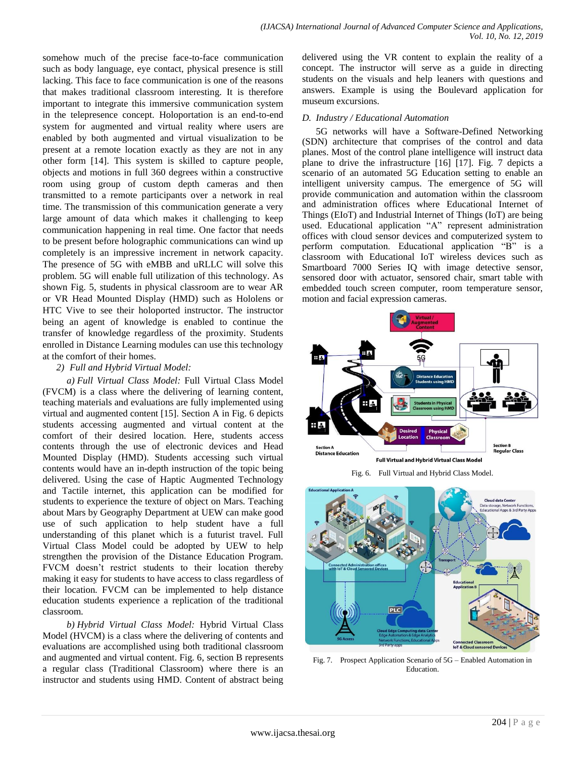somehow much of the precise face-to-face communication such as body language, eye contact, physical presence is still lacking. This face to face communication is one of the reasons that makes traditional classroom interesting. It is therefore important to integrate this immersive communication system in the telepresence concept. Holoportation is an end-to-end system for augmented and virtual reality where users are enabled by both augmented and virtual visualization to be present at a remote location exactly as they are not in any other form [14]. This system is skilled to capture people, objects and motions in full 360 degrees within a constructive room using group of custom depth cameras and then transmitted to a remote participants over a network in real time. The transmission of this communication generate a very large amount of data which makes it challenging to keep communication happening in real time. One factor that needs to be present before holographic communications can wind up completely is an impressive increment in network capacity. The presence of 5G with eMBB and uRLLC will solve this problem. 5G will enable full utilization of this technology. As shown Fig. 5, students in physical classroom are to wear AR or VR Head Mounted Display (HMD) such as Hololens or HTC Vive to see their holoported instructor. The instructor being an agent of knowledge is enabled to continue the transfer of knowledge regardless of the proximity. Students enrolled in Distance Learning modules can use this technology at the comfort of their homes.

#### *2) Full and Hybrid Virtual Model:*

*a) Full Virtual Class Model:* Full Virtual Class Model (FVCM) is a class where the delivering of learning content, teaching materials and evaluations are fully implemented using virtual and augmented content [15]. Section A in Fig. 6 depicts students accessing augmented and virtual content at the comfort of their desired location. Here, students access contents through the use of electronic devices and Head Mounted Display (HMD). Students accessing such virtual contents would have an in-depth instruction of the topic being delivered. Using the case of Haptic Augmented Technology and Tactile internet, this application can be modified for students to experience the texture of object on Mars. Teaching about Mars by Geography Department at UEW can make good use of such application to help student have a full understanding of this planet which is a futurist travel. Full Virtual Class Model could be adopted by UEW to help strengthen the provision of the Distance Education Program. FVCM doesn't restrict students to their location thereby making it easy for students to have access to class regardless of their location. FVCM can be implemented to help distance education students experience a replication of the traditional classroom.

*b) Hybrid Virtual Class Model:* Hybrid Virtual Class Model (HVCM) is a class where the delivering of contents and evaluations are accomplished using both traditional classroom and augmented and virtual content. Fig. 6, section B represents a regular class (Traditional Classroom) where there is an instructor and students using HMD. Content of abstract being delivered using the VR content to explain the reality of a concept. The instructor will serve as a guide in directing students on the visuals and help leaners with questions and answers. Example is using the Boulevard application for museum excursions.

### *D. Industry / Educational Automation*

5G networks will have a Software-Defined Networking (SDN) architecture that comprises of the control and data planes. Most of the control plane intelligence will instruct data plane to drive the infrastructure [16] [17]. Fig. 7 depicts a scenario of an automated 5G Education setting to enable an intelligent university campus. The emergence of 5G will provide communication and automation within the classroom and administration offices where Educational Internet of Things (EIoT) and Industrial Internet of Things (IoT) are being used. Educational application "A" represent administration offices with cloud sensor devices and computerized system to perform computation. Educational application "B" is a classroom with Educational IoT wireless devices such as Smartboard 7000 Series IQ with image detective sensor, sensored door with actuator, sensored chair, smart table with embedded touch screen computer, room temperature sensor, motion and facial expression cameras.







Fig. 7. Prospect Application Scenario of 5G – Enabled Automation in Education.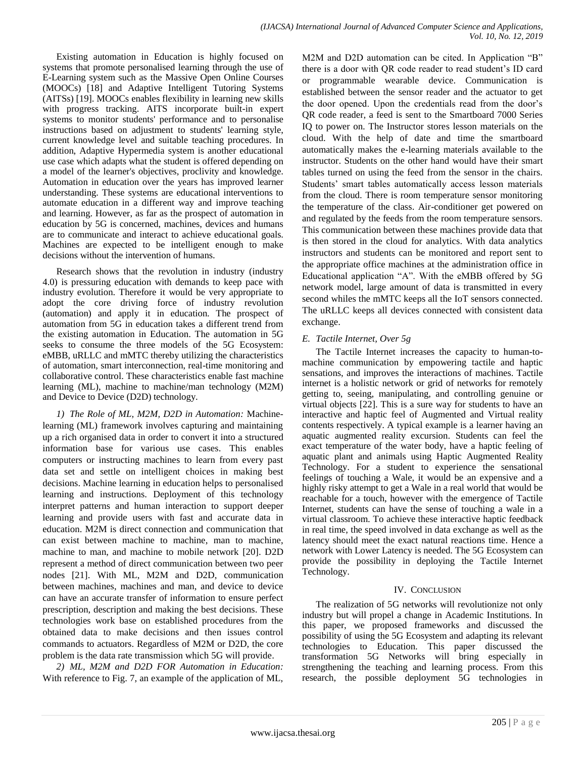Existing automation in Education is highly focused on systems that promote personalised learning through the use of E-Learning system such as the Massive Open Online Courses (MOOCs) [18] and Adaptive Intelligent Tutoring Systems (AITSs) [19]. MOOCs enables flexibility in learning new skills with progress tracking. AITS incorporate built-in expert systems to monitor students' performance and to personalise instructions based on adjustment to students' learning style, current knowledge level and suitable teaching procedures. In addition, Adaptive Hypermedia system is another educational use case which adapts what the student is offered depending on a model of the learner's objectives, proclivity and knowledge. Automation in education over the years has improved learner understanding. These systems are educational interventions to automate education in a different way and improve teaching and learning. However, as far as the prospect of automation in education by 5G is concerned, machines, devices and humans are to communicate and interact to achieve educational goals. Machines are expected to be intelligent enough to make decisions without the intervention of humans.

Research shows that the revolution in industry (industry 4.0) is pressuring education with demands to keep pace with industry evolution. Therefore it would be very appropriate to adopt the core driving force of industry revolution (automation) and apply it in education. The prospect of automation from 5G in education takes a different trend from the existing automation in Education. The automation in 5G seeks to consume the three models of the 5G Ecosystem: eMBB, uRLLC and mMTC thereby utilizing the characteristics of automation, smart interconnection, real-time monitoring and collaborative control. These characteristics enable fast machine learning (ML), machine to machine/man technology (M2M) and Device to Device (D2D) technology.

*1) The Role of ML, M2M, D2D in Automation:* Machinelearning (ML) framework involves capturing and maintaining up a rich organised data in order to convert it into a structured information base for various use cases. This enables computers or instructing machines to learn from every past data set and settle on intelligent choices in making best decisions. Machine learning in education helps to personalised learning and instructions. Deployment of this technology interpret patterns and human interaction to support deeper learning and provide users with fast and accurate data in education. M2M is direct connection and communication that can exist between machine to machine, man to machine, machine to man, and machine to mobile network [20]. D2D represent a method of direct communication between two peer nodes [21]. With ML, M2M and D2D, communication between machines, machines and man, and device to device can have an accurate transfer of information to ensure perfect prescription, description and making the best decisions. These technologies work base on established procedures from the obtained data to make decisions and then issues control commands to actuators. Regardless of M2M or D2D, the core problem is the data rate transmission which 5G will provide.

*2) ML, M2M and D2D FOR Automation in Education:* With reference to Fig. 7, an example of the application of ML, M2M and D2D automation can be cited. In Application "B" there is a door with QR code reader to read student"s ID card or programmable wearable device. Communication is established between the sensor reader and the actuator to get the door opened. Upon the credentials read from the door"s QR code reader, a feed is sent to the Smartboard 7000 Series IQ to power on. The Instructor stores lesson materials on the cloud. With the help of date and time the smartboard automatically makes the e-learning materials available to the instructor. Students on the other hand would have their smart tables turned on using the feed from the sensor in the chairs. Students' smart tables automatically access lesson materials from the cloud. There is room temperature sensor monitoring the temperature of the class. Air-conditioner get powered on and regulated by the feeds from the room temperature sensors. This communication between these machines provide data that is then stored in the cloud for analytics. With data analytics instructors and students can be monitored and report sent to the appropriate office machines at the administration office in Educational application "A". With the eMBB offered by 5G network model, large amount of data is transmitted in every second whiles the mMTC keeps all the IoT sensors connected. The uRLLC keeps all devices connected with consistent data exchange.

## *E. Tactile Internet, Over 5g*

The Tactile Internet increases the capacity to human-tomachine communication by empowering tactile and haptic sensations, and improves the interactions of machines. Tactile internet is a holistic network or grid of networks for remotely getting to, seeing, manipulating, and controlling genuine or virtual objects [22]. This is a sure way for students to have an interactive and haptic feel of Augmented and Virtual reality contents respectively. A typical example is a learner having an aquatic augmented reality excursion. Students can feel the exact temperature of the water body, have a haptic feeling of aquatic plant and animals using Haptic Augmented Reality Technology. For a student to experience the sensational feelings of touching a Wale, it would be an expensive and a highly risky attempt to get a Wale in a real world that would be reachable for a touch, however with the emergence of Tactile Internet, students can have the sense of touching a wale in a virtual classroom. To achieve these interactive haptic feedback in real time, the speed involved in data exchange as well as the latency should meet the exact natural reactions time. Hence a network with Lower Latency is needed. The 5G Ecosystem can provide the possibility in deploying the Tactile Internet Technology.

## IV. CONCLUSION

The realization of 5G networks will revolutionize not only industry but will propel a change in Academic Institutions. In this paper, we proposed frameworks and discussed the possibility of using the 5G Ecosystem and adapting its relevant technologies to Education. This paper discussed the transformation 5G Networks will bring especially in strengthening the teaching and learning process. From this research, the possible deployment 5G technologies in